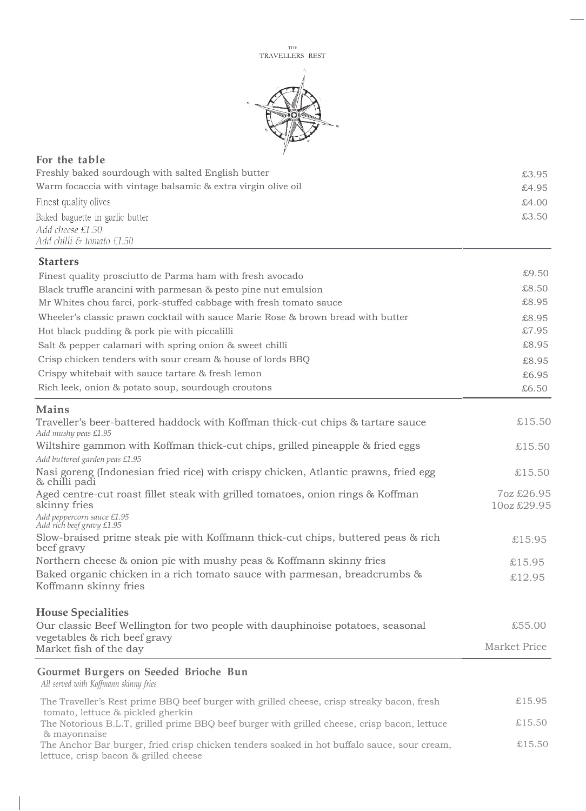

| For the table                                                                      |       |
|------------------------------------------------------------------------------------|-------|
| Freshly baked sourdough with salted English butter                                 | £3.95 |
| Warm focaccia with vintage balsamic & extra virgin olive oil                       | £4.95 |
| Finest quality olives                                                              | £4.00 |
| Baked baguette in garlic butter<br>Add cheese £1.50<br>Add chilli & tomato $£1.50$ | £3.50 |

## **Starters**

| Maine                                                                            |       |
|----------------------------------------------------------------------------------|-------|
| Rich leek, onion & potato soup, sourdough croutons                               | £6.50 |
| Crispy white bait with sauce tartare & fresh lemon                               | £6.95 |
| Crisp chicken tenders with sour cream & house of lords BBQ                       | £8.95 |
| Salt & pepper calamari with spring onion & sweet chilli                          | £8.95 |
| Hot black pudding & pork pie with piccalilli                                     | £7.95 |
| Wheeler's classic prawn cocktail with sauce Marie Rose & brown bread with butter | £8.95 |
| Mr Whites chou farci, pork-stuffed cabbage with fresh tomato sauce               | £8.95 |
| Black truffle arancini with parmesan & pesto pine nut emulsion                   | £8.50 |
| Finest quality prosciutto de Parma ham with fresh avocado                        | £9.50 |

| wiailio                                                                                                                         |                           |
|---------------------------------------------------------------------------------------------------------------------------------|---------------------------|
| Traveller's beer-battered haddock with Koffman thick-cut chips & tartare sauce<br>Add mushy peas £1.95                          | £15.50                    |
| Wiltshire gammon with Koffman thick-cut chips, grilled pineapple & fried eggs                                                   | £15.50                    |
| Add buttered garden peas £1.95                                                                                                  |                           |
| Nasi goreng (Indonesian fried rice) with crispy chicken, Atlantic prawns, fried egg<br>& chilli padi                            | £15.50                    |
| Aged centre-cut roast fillet steak with grilled tomatoes, onion rings & Koffman<br>skinny fries                                 | 7oz £26.95<br>10oz £29.95 |
| Add peppercorn sauce £1.95<br>Add rich beef gravy £1.95                                                                         |                           |
| Slow-braised prime steak pie with Koffmann thick-cut chips, buttered peas & rich<br>beef gravy                                  | £15.95                    |
| Northern cheese & onion pie with mushy peas & Koffmann skinny fries                                                             | £15.95                    |
| Baked organic chicken in a rich tomato sauce with parmesan, breadcrumbs &<br>Koffmann skinny fries                              | £12.95                    |
| <b>House Specialities</b>                                                                                                       |                           |
| Our classic Beef Wellington for two people with dauphinoise potatoes, seasonal<br>vegetables & rich beef gravy                  | £55.00                    |
| Market fish of the day                                                                                                          | Market Price              |
| Gourmet Burgers on Seeded Brioche Bun<br>All served with Koffmann skinny fries                                                  |                           |
| The Traveller's Rest prime BBQ beef burger with grilled cheese, crisp streaky bacon, fresh<br>tomato, lettuce & pickled gherkin | £15.95                    |

The Notorious B.L.T, grilled prime BBQ beef burger with grilled cheese, crisp bacon, lettuce  $$15.50$ & mayonnaise The Anchor Bar burger, fried crisp chicken tenders soaked in hot buffalo sauce, sour cream,  $£15.50$ 

lettuce, crisp bacon & grilled cheese